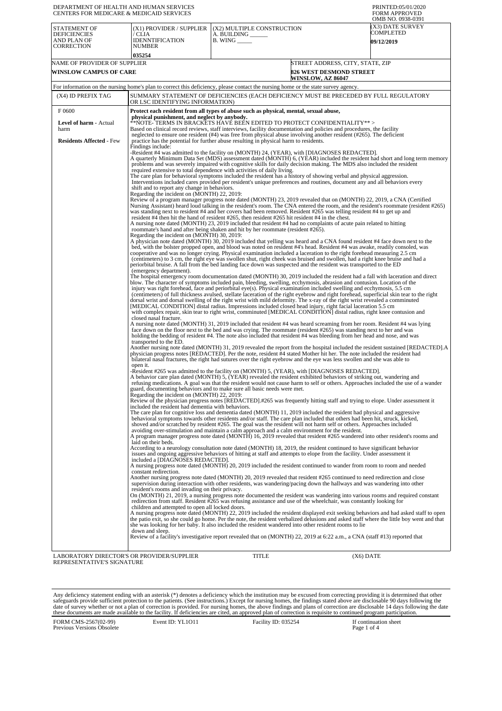| DEPARTMENT OF HEALTH AND HUMAN SERVICES<br><b>CENTERS FOR MEDICARE &amp; MEDICAID SERVICES</b> |                                                                                                                                                                                                                                                                                                                                                                                                                                                                                                                                                                                                                                                                                                                                                                                                                                                                                                                                                                                                                                                                                                                                                                                                                                                                                                                                                                                                                                                                                                                                                                                                                                                                                                                                                                                                                                                                                                                                                                                                                                                                                                                                                                                                                                                                                                                                                                                                                                                                                                                                                                                                                                                                                                                                                                                                                                                                                                                                                                                                                                                                                                                                                                                                                                                                                                                                                                                                                                                                                                                                                                                                                                                                                                                                                                                                                                                                                                                                                                                                                                                               |                                                               |                                                                                                | PRINTED:05/01/2020<br><b>FORM APPROVED</b><br>OMB NO. 0938-0391 |
|------------------------------------------------------------------------------------------------|---------------------------------------------------------------------------------------------------------------------------------------------------------------------------------------------------------------------------------------------------------------------------------------------------------------------------------------------------------------------------------------------------------------------------------------------------------------------------------------------------------------------------------------------------------------------------------------------------------------------------------------------------------------------------------------------------------------------------------------------------------------------------------------------------------------------------------------------------------------------------------------------------------------------------------------------------------------------------------------------------------------------------------------------------------------------------------------------------------------------------------------------------------------------------------------------------------------------------------------------------------------------------------------------------------------------------------------------------------------------------------------------------------------------------------------------------------------------------------------------------------------------------------------------------------------------------------------------------------------------------------------------------------------------------------------------------------------------------------------------------------------------------------------------------------------------------------------------------------------------------------------------------------------------------------------------------------------------------------------------------------------------------------------------------------------------------------------------------------------------------------------------------------------------------------------------------------------------------------------------------------------------------------------------------------------------------------------------------------------------------------------------------------------------------------------------------------------------------------------------------------------------------------------------------------------------------------------------------------------------------------------------------------------------------------------------------------------------------------------------------------------------------------------------------------------------------------------------------------------------------------------------------------------------------------------------------------------------------------------------------------------------------------------------------------------------------------------------------------------------------------------------------------------------------------------------------------------------------------------------------------------------------------------------------------------------------------------------------------------------------------------------------------------------------------------------------------------------------------------------------------------------------------------------------------------------------------------------------------------------------------------------------------------------------------------------------------------------------------------------------------------------------------------------------------------------------------------------------------------------------------------------------------------------------------------------------------------------------------------------------------------------------------------------------------------|---------------------------------------------------------------|------------------------------------------------------------------------------------------------|-----------------------------------------------------------------|
| STATEMENT OF<br><b>DEFICIENCIES</b><br>AND PLAN OF<br>CORRECTION                               | (X1) PROVIDER / SUPPLIER<br>/ CLIA<br>IDENNTIFICATION<br>NUMBER<br>035254                                                                                                                                                                                                                                                                                                                                                                                                                                                                                                                                                                                                                                                                                                                                                                                                                                                                                                                                                                                                                                                                                                                                                                                                                                                                                                                                                                                                                                                                                                                                                                                                                                                                                                                                                                                                                                                                                                                                                                                                                                                                                                                                                                                                                                                                                                                                                                                                                                                                                                                                                                                                                                                                                                                                                                                                                                                                                                                                                                                                                                                                                                                                                                                                                                                                                                                                                                                                                                                                                                                                                                                                                                                                                                                                                                                                                                                                                                                                                                                     | (X2) MULTIPLE CONSTRUCTION<br>A. BUILDING __<br>B. WING _____ |                                                                                                | (X3) DATE SURVEY<br>COMPLETED<br><b>09/12/2019</b>              |
| NAME OF PROVIDER OF SUPPLIER<br><b>WINSLOW CAMPUS OF CARE</b>                                  |                                                                                                                                                                                                                                                                                                                                                                                                                                                                                                                                                                                                                                                                                                                                                                                                                                                                                                                                                                                                                                                                                                                                                                                                                                                                                                                                                                                                                                                                                                                                                                                                                                                                                                                                                                                                                                                                                                                                                                                                                                                                                                                                                                                                                                                                                                                                                                                                                                                                                                                                                                                                                                                                                                                                                                                                                                                                                                                                                                                                                                                                                                                                                                                                                                                                                                                                                                                                                                                                                                                                                                                                                                                                                                                                                                                                                                                                                                                                                                                                                                                               |                                                               | STREET ADDRESS, CITY, STATE, ZIP<br><b>826 WEST DESMOND STREET</b><br><b>WINSLOW, AZ 86047</b> |                                                                 |
|                                                                                                | For information on the nursing home's plan to correct this deficiency, please contact the nursing home or the state survey agency.                                                                                                                                                                                                                                                                                                                                                                                                                                                                                                                                                                                                                                                                                                                                                                                                                                                                                                                                                                                                                                                                                                                                                                                                                                                                                                                                                                                                                                                                                                                                                                                                                                                                                                                                                                                                                                                                                                                                                                                                                                                                                                                                                                                                                                                                                                                                                                                                                                                                                                                                                                                                                                                                                                                                                                                                                                                                                                                                                                                                                                                                                                                                                                                                                                                                                                                                                                                                                                                                                                                                                                                                                                                                                                                                                                                                                                                                                                                            |                                                               |                                                                                                |                                                                 |
| (X4) ID PREFIX TAG                                                                             | SUMMARY STATEMENT OF DEFICIENCIES (EACH DEFICIENCY MUST BE PRECEDED BY FULL REGULATORY<br>OR LSC IDENTIFYING INFORMATION)                                                                                                                                                                                                                                                                                                                                                                                                                                                                                                                                                                                                                                                                                                                                                                                                                                                                                                                                                                                                                                                                                                                                                                                                                                                                                                                                                                                                                                                                                                                                                                                                                                                                                                                                                                                                                                                                                                                                                                                                                                                                                                                                                                                                                                                                                                                                                                                                                                                                                                                                                                                                                                                                                                                                                                                                                                                                                                                                                                                                                                                                                                                                                                                                                                                                                                                                                                                                                                                                                                                                                                                                                                                                                                                                                                                                                                                                                                                                     |                                                               |                                                                                                |                                                                 |
| F0600                                                                                          | Protect each resident from all types of abuse such as physical, mental, sexual abuse,                                                                                                                                                                                                                                                                                                                                                                                                                                                                                                                                                                                                                                                                                                                                                                                                                                                                                                                                                                                                                                                                                                                                                                                                                                                                                                                                                                                                                                                                                                                                                                                                                                                                                                                                                                                                                                                                                                                                                                                                                                                                                                                                                                                                                                                                                                                                                                                                                                                                                                                                                                                                                                                                                                                                                                                                                                                                                                                                                                                                                                                                                                                                                                                                                                                                                                                                                                                                                                                                                                                                                                                                                                                                                                                                                                                                                                                                                                                                                                         |                                                               |                                                                                                |                                                                 |
| Level of harm - Actual<br>harm                                                                 | physical punishment, and neglect by anybody.<br>**NOTE- TERMS IN BRACKETS HAVE BEEN EDITED TO PROTECT CONFIDENTIALITY**><br>Based on clinical record reviews, staff interviews, facility documentation and policies and procedures, the facility                                                                                                                                                                                                                                                                                                                                                                                                                                                                                                                                                                                                                                                                                                                                                                                                                                                                                                                                                                                                                                                                                                                                                                                                                                                                                                                                                                                                                                                                                                                                                                                                                                                                                                                                                                                                                                                                                                                                                                                                                                                                                                                                                                                                                                                                                                                                                                                                                                                                                                                                                                                                                                                                                                                                                                                                                                                                                                                                                                                                                                                                                                                                                                                                                                                                                                                                                                                                                                                                                                                                                                                                                                                                                                                                                                                                              |                                                               |                                                                                                |                                                                 |
| <b>Residents Affected - Few</b>                                                                | neglected to ensure one resident (#4) was free from physical abuse involving another resident (#265). The deficient<br>practice has the potential for further abuse resulting in physical harm to residents.<br>Findings include:<br>-Resident #4 was admitted to the facility on (MONTH) 24, (YEAR), with [DIAGNOSES REDACTED].<br>A quarterly Minimum Data Set (MDS) assessment dated (MONTH) 6, (YEAR) included the resident had short and long term memory<br>problems and was severely impaired with cognitive skills for daily decision making. The MDS also included the resident<br>required extensive to total dependence with activities of daily living.<br>The care plan for behavioral symptoms included the resident has a history of showing verbal and physical aggression.<br>Interventions included cares provided per resident's unique preferences and routines, document any and all behaviors every<br>shift and to report any change in behaviors.<br>Regarding the incident on (MONTH) 22, 2019:<br>Review of a program manager progress note dated (MONTH) 23, 2019 revealed that on (MONTH) 22, 2019, a CNA (Certified<br>Nursing Assistant) heard loud talking in the resident's room. The CNA entered the room, and the resident's roommate (resident #265)<br>was standing next to resident #4 and her covers had been removed. Resident #265 was telling resident #4 to get up and<br>resident #4 then hit the hand of resident #265, then resident #265 hit resident #4 in the chest.<br>A nursing note dated (MONTH) 23, 2019 included that resident #4 had no complaints of acute pain related to hitting<br>roommate's hand and after being shaken and hit by her roommate (resident #265).<br>Regarding the incident on (MONTH) 30, 2019:<br>A physician note dated (MONTH) 30, 2019 included that yelling was heard and a CNA found resident #4 face down next to the<br>bed, with the bolster propped open, and blood was noted on resident #4's head. Resident #4 was awake, readily consoled, was<br>cooperative and was no longer crying. Physical examination included a laceration to the right forehead measuring 2.5 cm<br>(centimeters) to 3 cm, the right eye was swollen shut, right cheek was bruised and swollen, had a right knee bruise and had a<br>periorbital bruise. A fall from the bed landing face down was suspected and the resident was transported to the ED<br>(emergency department).<br>The hospital emergency room documentation dated (MONTH) 30, 2019 included the resident had a fall with laceration and direct<br>blow. The character of symptoms included pain, bleeding, swelling, ecchymosis, abrasion and contusion. Location of the<br>injury was right forehead, face and periorbital eye(s). Physical examination included swelling and ecchymosis, 5.5 cm<br>(centimeters) of full thickness avulsed, stellate laceration of the right eyebrow and right forehead, superficial skin tear to the right<br>dorsal wrist and dorsal swelling of the right wrist with mild deformity. The x-ray of the right wrist revealed a comminuted<br>[MEDICAL CONDITION] distal radius. Impressions included closed head injury, right facial laceration 5.5 cm<br>with complex repair, skin tear to right wrist, comminuted [MEDICAL CONDITION] distal radius, right knee contusion and<br>closed nasal fracture.<br>A nursing note dated (MONTH) 31, 2019 included that resident #4 was heard screaming from her room. Resident #4 was lying<br>face down on the floor next to the bed and was crying. The roommate (resident #265) was standing next to her and was<br>holding the bedding of resident #4. The note also included that resident #4 was bleeding from her head and nose, and was<br>transported to the ED.<br>Another nursing note dated (MONTH) 31, 2019 revealed the report from the hospital included the resident sustained [REDACTED]. A<br>physician progress notes [REDACTED]. Per the note, resident #4 stated Mother hit her. The note included the resident had |                                                               |                                                                                                |                                                                 |
|                                                                                                | bilateral nasal fractures, the right had sutures over the right eyebrow and the eye was less swollen and she was able to<br>open it.<br>-Resident #265 was admitted to the facility on (MONTH) 5, (YEAR), with [DIAGNOSES REDACTED].<br>A behavior care plan dated (MONTH) 5, (YEAR) revealed the resident exhibited behaviors of striking out, wandering and<br>refusing medications. A goal was that the resident would not cause harm to self or others. Approaches included the use of a wander<br>guard, documenting behaviors and to make sure all basic needs were met.<br>Regarding the incident on (MONTH) 22, 2019:<br>Review of the physician progress notes [REDACTED].#265 was frequently hitting staff and trying to elope. Under assessment it<br>included the resident had dementia with behaviors.<br>The care plan for cognitive loss and dementia dated (MONTH) 11, 2019 included the resident had physical and aggressive<br>behavioral symptoms towards other residents and/or staff. The care plan included that others had been hit, struck, kicked,<br>shoved and/or scratched by resident #265. The goal was the resident will not harm self or others. Approaches included<br>avoiding over-stimulation and maintain a calm approach and a calm environment for the resident.<br>A program manager progress note dated (MONTH) 16, 2019 revealed that resident #265 wandered into other resident's rooms and<br>laid on their beds.<br>According to a neurology consultation note dated (MONTH) 18, 2019, the resident continued to have significant behavior<br>issues and ongoing aggressive behaviors of hitting at staff and attempts to elope from the facility. Under assessment it<br>included a [DIAGNOSES REDACTED].<br>A nursing progress note dated (MONTH) 20, 2019 included the resident continued to wander from room to room and needed<br>constant redirection.<br>Another nursing progress note dated (MONTH) 20, 2019 revealed that resident #265 continued to need redirection and close<br>supervision during interaction with other residents, was wandering/pacing down the hallways and was wandering into other<br>resident's rooms and invading on their privacy.<br>On (MONTH) 21, 2019, a nursing progress note documented the resident was wandering into various rooms and required constant<br>redirection from staff. Resident #265 was refusing assistance and use of the wheelchair, was constantly looking for<br>children and attempted to open all locked doors.<br>A nursing progress note dated (MONTH) 22, 2019 included the resident displayed exit seeking behaviors and had asked staff to open<br>the patio exit, so she could go home. Per the note, the resident verbalized delusions and asked staff where the little boy went and that<br>she was looking for her baby. It also included the resident wandered into other resident rooms to lie<br>down and sleep.<br>Review of a facility's investigative report revealed that on (MONTH) 22, 2019 at 6:22 a.m., a CNA (staff #13) reported that                                                                                                                                                                                                                                                                                                                                                                                                                                                                                                                                                                                                                                                                                                                                                                                                                                                                                                                                                                                    |                                                               |                                                                                                |                                                                 |
| LABORATORY DIRECTOR'S OR PROVIDER/SUPPLIER<br>REPRESENTATIVE'S SIGNATURE                       |                                                                                                                                                                                                                                                                                                                                                                                                                                                                                                                                                                                                                                                                                                                                                                                                                                                                                                                                                                                                                                                                                                                                                                                                                                                                                                                                                                                                                                                                                                                                                                                                                                                                                                                                                                                                                                                                                                                                                                                                                                                                                                                                                                                                                                                                                                                                                                                                                                                                                                                                                                                                                                                                                                                                                                                                                                                                                                                                                                                                                                                                                                                                                                                                                                                                                                                                                                                                                                                                                                                                                                                                                                                                                                                                                                                                                                                                                                                                                                                                                                                               | TITLE                                                         | (X6) DATE                                                                                      |                                                                 |

Any deficiency statement ending with an asterisk (\*) denotes a deficiency which the institution may be excused from correcting providing it is determined that other safeguards provide sufficient protection to the patients.

FORM CMS-2567(02-99) Previous Versions Obsolete Event ID: YL1O11 Facility ID: 035254 If continuation sheet<br>Page 1 of 4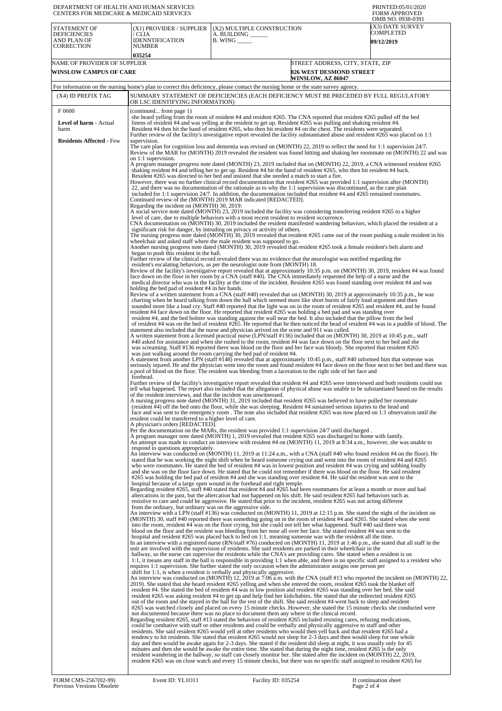| DEPARTMENT OF HEALTH AND HUMAN SERVICES<br>CENTERS FOR MEDICARE & MEDICAID SERVICES |                                                                                              |                                                                                                                                                                                                                                                                                                                                                                                                                                                                                                                                                                                                                                                                                                                                                                                                                                                                                                                                                                                                                                                                                                                                                                                                                                                                                                                                                                                 | PRINTED:05/01/2020<br><b>FORM APPROVED</b><br>OMB NO. 0938-0391 |
|-------------------------------------------------------------------------------------|----------------------------------------------------------------------------------------------|---------------------------------------------------------------------------------------------------------------------------------------------------------------------------------------------------------------------------------------------------------------------------------------------------------------------------------------------------------------------------------------------------------------------------------------------------------------------------------------------------------------------------------------------------------------------------------------------------------------------------------------------------------------------------------------------------------------------------------------------------------------------------------------------------------------------------------------------------------------------------------------------------------------------------------------------------------------------------------------------------------------------------------------------------------------------------------------------------------------------------------------------------------------------------------------------------------------------------------------------------------------------------------------------------------------------------------------------------------------------------------|-----------------------------------------------------------------|
| STATEMENT OF<br><b>DEFICIENCIES</b><br>AND PLAN OF<br>CORRECTION                    | (X1) PROVIDER / SUPPLIER<br>/ CLIA<br>IDENNTIFICATION<br>NUMBER                              | (X2) MULTIPLE CONSTRUCTION<br>A. BUILDING ______<br>$B.$ WING $\_\_\_\_\_\_\$                                                                                                                                                                                                                                                                                                                                                                                                                                                                                                                                                                                                                                                                                                                                                                                                                                                                                                                                                                                                                                                                                                                                                                                                                                                                                                   | X3) DATE SURVEY<br>COMPLETED<br><b>09/12/2019</b>               |
|                                                                                     | 035254                                                                                       |                                                                                                                                                                                                                                                                                                                                                                                                                                                                                                                                                                                                                                                                                                                                                                                                                                                                                                                                                                                                                                                                                                                                                                                                                                                                                                                                                                                 |                                                                 |
| NAME OF PROVIDER OF SUPPLIER                                                        |                                                                                              |                                                                                                                                                                                                                                                                                                                                                                                                                                                                                                                                                                                                                                                                                                                                                                                                                                                                                                                                                                                                                                                                                                                                                                                                                                                                                                                                                                                 | STREET ADDRESS, CITY, STATE, ZIP                                |
| <b>WINSLOW CAMPUS OF CARE</b>                                                       |                                                                                              | <b>826 WEST DESMOND STREET</b><br><b>WINSLOW, AZ 86047</b>                                                                                                                                                                                                                                                                                                                                                                                                                                                                                                                                                                                                                                                                                                                                                                                                                                                                                                                                                                                                                                                                                                                                                                                                                                                                                                                      |                                                                 |
|                                                                                     |                                                                                              | For information on the nursing home's plan to correct this deficiency, please contact the nursing home or the state survey agency.                                                                                                                                                                                                                                                                                                                                                                                                                                                                                                                                                                                                                                                                                                                                                                                                                                                                                                                                                                                                                                                                                                                                                                                                                                              |                                                                 |
| (X4) ID PREFIX TAG                                                                  | OR LSC IDENTIFYING INFORMATION)                                                              | SUMMARY STATEMENT OF DEFICIENCIES (EACH DEFICIENCY MUST BE PRECEDED BY FULL REGULATORY                                                                                                                                                                                                                                                                                                                                                                                                                                                                                                                                                                                                                                                                                                                                                                                                                                                                                                                                                                                                                                                                                                                                                                                                                                                                                          |                                                                 |
| F0600<br>Level of harm - Actual<br>harm                                             | (continued from page 1)                                                                      | she heard yelling from the room of resident #4 and resident #265. The CNA reported that resident #265 pulled off the bed<br>linens of resident #4 and was yelling at the resident to get up. Resident #265 was pulling and shaking resident #4.<br>Resident #4 then hit the hand of resident #265, who then hit resident #4 on the chest. The residents were separated.                                                                                                                                                                                                                                                                                                                                                                                                                                                                                                                                                                                                                                                                                                                                                                                                                                                                                                                                                                                                         |                                                                 |
| <b>Residents Affected - Few</b>                                                     | supervision.                                                                                 | Further review of the facility's investigative report revealed the facility substantiated abuse and resident #265 was placed on 1:1                                                                                                                                                                                                                                                                                                                                                                                                                                                                                                                                                                                                                                                                                                                                                                                                                                                                                                                                                                                                                                                                                                                                                                                                                                             |                                                                 |
|                                                                                     | on 1:1 supervision.                                                                          | The care plan for cognition loss and dementia was revised on (MONTH) 22, 2019 to reflect the need for 1:1 supervision 24/7.<br>Review of the MAR for (MONTH) 2019 revealed the resident was found hitting and shaking her roommate on (MONTH) 22 and was                                                                                                                                                                                                                                                                                                                                                                                                                                                                                                                                                                                                                                                                                                                                                                                                                                                                                                                                                                                                                                                                                                                        |                                                                 |
|                                                                                     | Regarding the incident on (MONTH) 30, 2019:                                                  | A program manager progress note dated (MONTH) 23, 2019 included that on (MONTH) 22, 2019, a CNA witnessed resident #265<br>shaking resident #4 and telling her to get up. Resident #4 hit the hand of resident #265, who then hit resident #4 back.<br>Resident #265 was directed to her bed and insisted that she needed a match to start a fire.<br>However, there was no further clinical record documentation that resident #265 was provided 1:1 supervision after (MONTH)<br>22, and there was no documentation of the rationale as to why the 1:1 supervision was discontinued, as the care plan<br>included for 1:1 supervision $24/7$ . In addition, the documentation included that resident #4 and #265 remained roommates.<br>Continued review of the (MONTH) 2019 MAR indicated [REDACTED].                                                                                                                                                                                                                                                                                                                                                                                                                                                                                                                                                                        |                                                                 |
|                                                                                     |                                                                                              | A social service note dated (MONTH) 23, 2019 included the facility was considering transferring resident #265 to a higher<br>level of care, due to multiple behaviors with a most recent resident to resident occurrence.<br>CNA documentation on (MONTH) 30, 2019 included the resident manifested wandering behaviors, which placed the resident at a<br>significant risk for danger, by intruding on privacy or activity of others.                                                                                                                                                                                                                                                                                                                                                                                                                                                                                                                                                                                                                                                                                                                                                                                                                                                                                                                                          |                                                                 |
|                                                                                     | began to push this resident in the hall.                                                     | The nursing progress note dated (MONTH) 30, 2019 revealed that resident #265 came out of the room pushing a male resident in his<br>wheelchair and asked staff where the male resident was supposed to go.<br>Another nursing progress note dated (MONTH) 30, 2019 revealed that resident #265 took a female resident's belt alarm and                                                                                                                                                                                                                                                                                                                                                                                                                                                                                                                                                                                                                                                                                                                                                                                                                                                                                                                                                                                                                                          |                                                                 |
|                                                                                     |                                                                                              | Further review of the clinical record revealed there was no evidence that the neurologist was notified regarding the<br>resident's escalating behaviors, as per the neurologist note from (MONTH) 18.<br>Review of the facility's investigative report revealed that at approximately 10:35 p.m. on (MONTH) 30, 2019, resident #4 was found<br>face down on the floor in her room by a CNA (staff #40). The CNA immediately requested the help of a nurse and the<br>medical director who was in the facility at the time of the incident. Resident #265 was found standing over resident #4 and was                                                                                                                                                                                                                                                                                                                                                                                                                                                                                                                                                                                                                                                                                                                                                                            |                                                                 |
|                                                                                     | holding the bed pad of resident #4 in her hands.                                             | Review of a written statement from a CNA (staff #40) revealed that on (MONTH) 30, 2019 at approximately 10:35 p.m., he was<br>charting when he heard talking from down the hall which seemed more like short bursts of fairly loud argument and then<br>sounded more like a loud cry. Staff #40 reported that the light was on in the room of resident #265 and resident #4, and he found<br>resident #4 face down on the floor. He reported that resident #265 was holding a bed pad and was standing over<br>resident #4, and the bed bolster was standing against the wall near the bed. It also included that the pillow from the bed<br>of resident #4 was on the bed of resident #265. He reported that he then noticed the head of resident #4 was in a puddle of blood. The<br>statement also included that the nurse and physician arrived on the scene and 911 was called.                                                                                                                                                                                                                                                                                                                                                                                                                                                                                            |                                                                 |
|                                                                                     |                                                                                              | A written statement from a licensed practical nurse (LPN/staff #136) included that on (MONTH) 30, 2019 at 10:45 p.m., staff<br>#40 asked for assistance and when she rushed to the room, resident #4 was face down on the floor next to her bed and she<br>was screaming. Staff #136 reported there was blood on the floor and her face was bloody. She reported that resident #265<br>was just walking around the room carrying the bed pad of resident #4.<br>A statement from another LPN (staff #148) revealed that at approximately 10:45 p.m., staff #40 informed him that someone was<br>seriously injured. He and the physician went into the room and found resident #4 face down on the floor next to her bed and there was                                                                                                                                                                                                                                                                                                                                                                                                                                                                                                                                                                                                                                           |                                                                 |
|                                                                                     | forehead.                                                                                    | a pool of blood on the floor. The resident was bleeding from a laceration to the right side of her face and<br>Further review of the facility's investigative report revealed that resident #4 and #265 were interviewed and both residents could not                                                                                                                                                                                                                                                                                                                                                                                                                                                                                                                                                                                                                                                                                                                                                                                                                                                                                                                                                                                                                                                                                                                           |                                                                 |
|                                                                                     | of the resident interviews, and that the incident was unwitnessed.                           | tell what happened. The report also included that the allegation of physical abuse was unable to be substantiated based on the results<br>A nursing progress note dated (MONTH) 31, 2019 included that resident #265 was believed to have pulled her roommate<br>(resident #4) off the bed onto the floor, while she was sleeping. Resident #4 sustained serious injuries to the head and<br>face and was sent to the emergency room. The note also included that resident #265 was now placed on 1:1 observation until the                                                                                                                                                                                                                                                                                                                                                                                                                                                                                                                                                                                                                                                                                                                                                                                                                                                     |                                                                 |
|                                                                                     | resident could be transferred to a higher level of care.<br>A physician's orders [REDACTED]. | Per the documentation on the MARs, the resident was provided 1:1 supervision 24/7 until discharged.<br>A program manager note dated (MONTH) 1, 2019 revealed that resident #265 was discharged to home with family.<br>An attempt was made to conduct an interview with resident #4 on (MONTH) 11, 2019 at 8:34 a.m., however, she was unable to                                                                                                                                                                                                                                                                                                                                                                                                                                                                                                                                                                                                                                                                                                                                                                                                                                                                                                                                                                                                                                |                                                                 |
|                                                                                     | respond to questions appropriately.                                                          | An interview was conducted on (MONTH) 11, 2019 at 11:24 a.m., with a CNA (staff #40 who found resident #4 on the floor). He<br>stated that he was working the night shift when he heard someone crying out and went into the room of resident #4 and #265<br>who were roommates. He stated the bed of resident #4 was in lowest position and resident #4 was crying and sobbing loudly<br>and she was on the floor face down. He stated that he could not remember if there was blood on the floor. He said resident<br>#265 was holding the bed pad of resident #4 and she was standing over resident #4. He said the resident was sent to the<br>hospital because of a large open wound in the forehead and right temple.<br>Regarding resident #265, staff #40 stated that resident #4 and #265 had been roommates for at least a month or more and had<br>altercations in the past, but the altercation had not happened on his shift. He said resident #265 had behaviors such as<br>resistive to care and could be aggressive. He stated that prior to the incident, resident #265 was not acting different                                                                                                                                                                                                                                                               |                                                                 |
|                                                                                     | from the ordinary, but ordinary was on the aggressive side.                                  | An interview with a LPN (staff #136) was conducted on (MONTH) 11, 2019 at 12:15 p.m. She stated the night of the incident on<br>(MONTH) 30, staff #40 reported there was something going on in the room of resident #4 and #265. She stated when she went<br>into the room, resident #4 was on the floor crying, but she could not tell her what happened. Staff #40 said there was<br>blood on the floor and the resident was bleeding from her nose all over her face. She stated resident #4 was sent to the<br>hospital and resident #265 was placed back to bed on 1:1, meaning someone was with the resident all the time.<br>In an interview with a registered nurse (RN/staff #76) conducted on (MONTH) 11, 2019 at 1:46 p.m., she stated that all staff in the<br>unit are involved with the supervision of residents. She said residents are parked in their wheelchair in the                                                                                                                                                                                                                                                                                                                                                                                                                                                                                        |                                                                 |
|                                                                                     |                                                                                              | hallway, so the nurse can supervise the residents while the CNA's are providing cares. She stated when a resident is on<br>1:1, it means any staff in the hall is responsible in providing 1:1 when able, and there is no specific staff assigned to a resident who<br>requires 1:1 supervision. She further stated the only occasion when the administrator assigns one person per<br>shift for 1:1, is when a resident is verbally and physically aggressive.<br>An interview was conducted on (MONTH) 12, 2019 at 7:06 a.m. with the CNA (staff #13 who reported the incident on (MONTH) 22,<br>2019). She stated that she heard resident #265 yelling and when she entered the room, resident #265 took the blanket off<br>resident #4. She stated the bed of resident #4 was in low position and resident #265 was standing over her bed. She said                                                                                                                                                                                                                                                                                                                                                                                                                                                                                                                         |                                                                 |
|                                                                                     |                                                                                              | resident #265 was asking resident #4 to get up and help find her kids/babies. She stated that she redirected resident #265<br>out of the room and she stayed in the hall for the rest of the shift. She said resident #4 went back to sleep and resident<br>#265 was watched closely and placed on every 15 minute checks. However, she stated the 15 minute checks she conducted were<br>not documented because there was no place to document them any where in the clinical record.<br>Regarding resident #265, staff #13 stated the behaviors of resident #265 included resisting cares, refusing medications,<br>could be combative with staff or other residents and could be verbally and physically aggressive to staff and other<br>residents. She said resident #265 would yell at other residents who would then yell back and that resident #265 had a<br>tendency to hit residents. She stated that resident #265 would not sleep for 2-3 days and then would sleep for one whole<br>day and then would be awake again for 2-3 days. She stated if the resident did sleep at night, it was usually only for 45<br>minutes and then she would be awake the entire time. She stated that during the night time, resident #265 is the only<br>resident wandering in the hallway, so staff can closely monitor her. She stated after the incident on (MONTH) 22, 2019, |                                                                 |
|                                                                                     |                                                                                              | resident #265 was on close watch and every 15 minute checks, but there was no specific staff assigned to resident #265 for                                                                                                                                                                                                                                                                                                                                                                                                                                                                                                                                                                                                                                                                                                                                                                                                                                                                                                                                                                                                                                                                                                                                                                                                                                                      |                                                                 |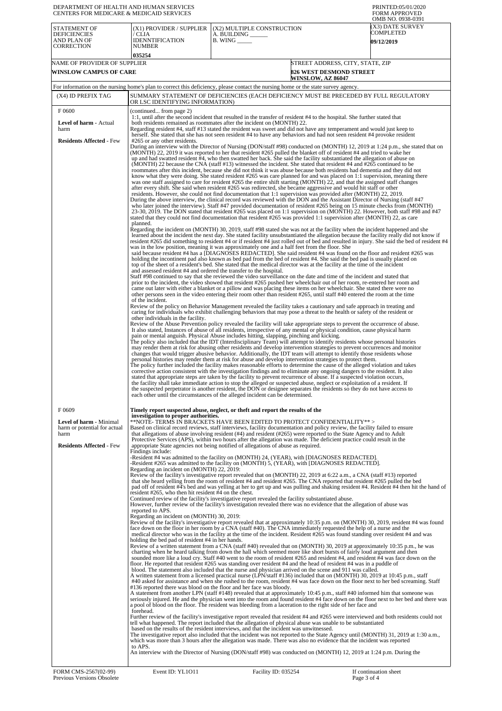| DEPARTMENT OF HEALTH AND HUMAN SERVICES<br>CENTERS FOR MEDICARE & MEDICAID SERVICES                         |                                                                                                                                                                                                                                                                                                                                                                                                                                                                                                                                                                                                                                                                                                                                                                                                                                                                                                                                                                                                                                                                                                                                                                                                                                                                                                                                                                                                                                                                                                                                                                                                                                                                                                                                                                                                                                                                                                                                                                                                                                                                                                                                                                                                                                                                                                                                                                                                                                                                                                                                                                                                                                                                                                                                                                                                                                                                                                                                                                                                                                                                                                                                                                                                                                                                                                                                                                                                                                                                                                                                                                                                                                                                                                                                                                                                                                                                                                                                                                                                                                                                                                                                                                                                                                                                                                                                                                                                                                                                                                                                                                                                                                                                                                                                                                                     |                                                                                                                                                                                                                                                                                                                                                                                                                                                                                                                                                                                                                                                                                                                                                                                                                                                                                                                                                                                                                                                                                                                                                                                                                                                                                                                                                                                                                                                                                                                                                                                                                                                                                                                                                                                                                                                                                                                                                                                                                                                                                                                                                                                                                                                                                                                                                                                                                                                                                                                                                                                                                                                                                                                                                                                                                                                                                                                                                                                                                                                                                                                                                                                                                                                                                                                                                                                                                                                                                                                                                                                                                                                                                                                                                                                                                                                                                                                                                                                                                                                                                                                                                                                                                                                                                                                                                                                                                                                                                                                                                                                                                                                                                                                   | PRINTED:05/01/2020<br><b>FORM APPROVED</b><br>OMB NO. 0938-0391 |  |  |
|-------------------------------------------------------------------------------------------------------------|-------------------------------------------------------------------------------------------------------------------------------------------------------------------------------------------------------------------------------------------------------------------------------------------------------------------------------------------------------------------------------------------------------------------------------------------------------------------------------------------------------------------------------------------------------------------------------------------------------------------------------------------------------------------------------------------------------------------------------------------------------------------------------------------------------------------------------------------------------------------------------------------------------------------------------------------------------------------------------------------------------------------------------------------------------------------------------------------------------------------------------------------------------------------------------------------------------------------------------------------------------------------------------------------------------------------------------------------------------------------------------------------------------------------------------------------------------------------------------------------------------------------------------------------------------------------------------------------------------------------------------------------------------------------------------------------------------------------------------------------------------------------------------------------------------------------------------------------------------------------------------------------------------------------------------------------------------------------------------------------------------------------------------------------------------------------------------------------------------------------------------------------------------------------------------------------------------------------------------------------------------------------------------------------------------------------------------------------------------------------------------------------------------------------------------------------------------------------------------------------------------------------------------------------------------------------------------------------------------------------------------------------------------------------------------------------------------------------------------------------------------------------------------------------------------------------------------------------------------------------------------------------------------------------------------------------------------------------------------------------------------------------------------------------------------------------------------------------------------------------------------------------------------------------------------------------------------------------------------------------------------------------------------------------------------------------------------------------------------------------------------------------------------------------------------------------------------------------------------------------------------------------------------------------------------------------------------------------------------------------------------------------------------------------------------------------------------------------------------------------------------------------------------------------------------------------------------------------------------------------------------------------------------------------------------------------------------------------------------------------------------------------------------------------------------------------------------------------------------------------------------------------------------------------------------------------------------------------------------------------------------------------------------------------------------------------------------------------------------------------------------------------------------------------------------------------------------------------------------------------------------------------------------------------------------------------------------------------------------------------------------------------------------------------------------------------------------------------------------------------------------------------------------------|-------------------------------------------------------------------------------------------------------------------------------------------------------------------------------------------------------------------------------------------------------------------------------------------------------------------------------------------------------------------------------------------------------------------------------------------------------------------------------------------------------------------------------------------------------------------------------------------------------------------------------------------------------------------------------------------------------------------------------------------------------------------------------------------------------------------------------------------------------------------------------------------------------------------------------------------------------------------------------------------------------------------------------------------------------------------------------------------------------------------------------------------------------------------------------------------------------------------------------------------------------------------------------------------------------------------------------------------------------------------------------------------------------------------------------------------------------------------------------------------------------------------------------------------------------------------------------------------------------------------------------------------------------------------------------------------------------------------------------------------------------------------------------------------------------------------------------------------------------------------------------------------------------------------------------------------------------------------------------------------------------------------------------------------------------------------------------------------------------------------------------------------------------------------------------------------------------------------------------------------------------------------------------------------------------------------------------------------------------------------------------------------------------------------------------------------------------------------------------------------------------------------------------------------------------------------------------------------------------------------------------------------------------------------------------------------------------------------------------------------------------------------------------------------------------------------------------------------------------------------------------------------------------------------------------------------------------------------------------------------------------------------------------------------------------------------------------------------------------------------------------------------------------------------------------------------------------------------------------------------------------------------------------------------------------------------------------------------------------------------------------------------------------------------------------------------------------------------------------------------------------------------------------------------------------------------------------------------------------------------------------------------------------------------------------------------------------------------------------------------------------------------------------------------------------------------------------------------------------------------------------------------------------------------------------------------------------------------------------------------------------------------------------------------------------------------------------------------------------------------------------------------------------------------------------------------------------------------------------------------------------------------------------------------------------------------------------------------------------------------------------------------------------------------------------------------------------------------------------------------------------------------------------------------------------------------------------------------------------------------------------------------------------------------------------------------------------------------|-----------------------------------------------------------------|--|--|
| <b>STATEMENT OF</b><br><b>DEFICIENCIES</b><br>AND PLAN OF<br><b>CORRECTION</b>                              | (X1) PROVIDER / SUPPLIER<br>/ CLIA<br><b>IDENNTIFICATION</b><br><b>NUMBER</b><br>035254                                                                                                                                                                                                                                                                                                                                                                                                                                                                                                                                                                                                                                                                                                                                                                                                                                                                                                                                                                                                                                                                                                                                                                                                                                                                                                                                                                                                                                                                                                                                                                                                                                                                                                                                                                                                                                                                                                                                                                                                                                                                                                                                                                                                                                                                                                                                                                                                                                                                                                                                                                                                                                                                                                                                                                                                                                                                                                                                                                                                                                                                                                                                                                                                                                                                                                                                                                                                                                                                                                                                                                                                                                                                                                                                                                                                                                                                                                                                                                                                                                                                                                                                                                                                                                                                                                                                                                                                                                                                                                                                                                                                                                                                                             | (X2) MULTIPLE CONSTRUCTION<br>A. BUILDING<br>$B.$ WING $\_\_\_\_\_\_\$                                                                                                                                                                                                                                                                                                                                                                                                                                                                                                                                                                                                                                                                                                                                                                                                                                                                                                                                                                                                                                                                                                                                                                                                                                                                                                                                                                                                                                                                                                                                                                                                                                                                                                                                                                                                                                                                                                                                                                                                                                                                                                                                                                                                                                                                                                                                                                                                                                                                                                                                                                                                                                                                                                                                                                                                                                                                                                                                                                                                                                                                                                                                                                                                                                                                                                                                                                                                                                                                                                                                                                                                                                                                                                                                                                                                                                                                                                                                                                                                                                                                                                                                                                                                                                                                                                                                                                                                                                                                                                                                                                                                                                            | (X3) DATE SURVEY<br>COMPLETED<br><b>09/12/2019</b>              |  |  |
| NAME OF PROVIDER OF SUPPLIER                                                                                |                                                                                                                                                                                                                                                                                                                                                                                                                                                                                                                                                                                                                                                                                                                                                                                                                                                                                                                                                                                                                                                                                                                                                                                                                                                                                                                                                                                                                                                                                                                                                                                                                                                                                                                                                                                                                                                                                                                                                                                                                                                                                                                                                                                                                                                                                                                                                                                                                                                                                                                                                                                                                                                                                                                                                                                                                                                                                                                                                                                                                                                                                                                                                                                                                                                                                                                                                                                                                                                                                                                                                                                                                                                                                                                                                                                                                                                                                                                                                                                                                                                                                                                                                                                                                                                                                                                                                                                                                                                                                                                                                                                                                                                                                                                                                                                     |                                                                                                                                                                                                                                                                                                                                                                                                                                                                                                                                                                                                                                                                                                                                                                                                                                                                                                                                                                                                                                                                                                                                                                                                                                                                                                                                                                                                                                                                                                                                                                                                                                                                                                                                                                                                                                                                                                                                                                                                                                                                                                                                                                                                                                                                                                                                                                                                                                                                                                                                                                                                                                                                                                                                                                                                                                                                                                                                                                                                                                                                                                                                                                                                                                                                                                                                                                                                                                                                                                                                                                                                                                                                                                                                                                                                                                                                                                                                                                                                                                                                                                                                                                                                                                                                                                                                                                                                                                                                                                                                                                                                                                                                                                                   | STREET ADDRESS, CITY, STATE, ZIP                                |  |  |
| <b>WINSLOW CAMPUS OF CARE</b><br><b>826 WEST DESMOND STREET</b><br><b>WINSLOW, AZ 86047</b>                 |                                                                                                                                                                                                                                                                                                                                                                                                                                                                                                                                                                                                                                                                                                                                                                                                                                                                                                                                                                                                                                                                                                                                                                                                                                                                                                                                                                                                                                                                                                                                                                                                                                                                                                                                                                                                                                                                                                                                                                                                                                                                                                                                                                                                                                                                                                                                                                                                                                                                                                                                                                                                                                                                                                                                                                                                                                                                                                                                                                                                                                                                                                                                                                                                                                                                                                                                                                                                                                                                                                                                                                                                                                                                                                                                                                                                                                                                                                                                                                                                                                                                                                                                                                                                                                                                                                                                                                                                                                                                                                                                                                                                                                                                                                                                                                                     |                                                                                                                                                                                                                                                                                                                                                                                                                                                                                                                                                                                                                                                                                                                                                                                                                                                                                                                                                                                                                                                                                                                                                                                                                                                                                                                                                                                                                                                                                                                                                                                                                                                                                                                                                                                                                                                                                                                                                                                                                                                                                                                                                                                                                                                                                                                                                                                                                                                                                                                                                                                                                                                                                                                                                                                                                                                                                                                                                                                                                                                                                                                                                                                                                                                                                                                                                                                                                                                                                                                                                                                                                                                                                                                                                                                                                                                                                                                                                                                                                                                                                                                                                                                                                                                                                                                                                                                                                                                                                                                                                                                                                                                                                                                   |                                                                 |  |  |
| (X4) ID PREFIX TAG                                                                                          |                                                                                                                                                                                                                                                                                                                                                                                                                                                                                                                                                                                                                                                                                                                                                                                                                                                                                                                                                                                                                                                                                                                                                                                                                                                                                                                                                                                                                                                                                                                                                                                                                                                                                                                                                                                                                                                                                                                                                                                                                                                                                                                                                                                                                                                                                                                                                                                                                                                                                                                                                                                                                                                                                                                                                                                                                                                                                                                                                                                                                                                                                                                                                                                                                                                                                                                                                                                                                                                                                                                                                                                                                                                                                                                                                                                                                                                                                                                                                                                                                                                                                                                                                                                                                                                                                                                                                                                                                                                                                                                                                                                                                                                                                                                                                                                     | For information on the nursing home's plan to correct this deficiency, please contact the nursing home or the state survey agency.                                                                                                                                                                                                                                                                                                                                                                                                                                                                                                                                                                                                                                                                                                                                                                                                                                                                                                                                                                                                                                                                                                                                                                                                                                                                                                                                                                                                                                                                                                                                                                                                                                                                                                                                                                                                                                                                                                                                                                                                                                                                                                                                                                                                                                                                                                                                                                                                                                                                                                                                                                                                                                                                                                                                                                                                                                                                                                                                                                                                                                                                                                                                                                                                                                                                                                                                                                                                                                                                                                                                                                                                                                                                                                                                                                                                                                                                                                                                                                                                                                                                                                                                                                                                                                                                                                                                                                                                                                                                                                                                                                                |                                                                 |  |  |
|                                                                                                             |                                                                                                                                                                                                                                                                                                                                                                                                                                                                                                                                                                                                                                                                                                                                                                                                                                                                                                                                                                                                                                                                                                                                                                                                                                                                                                                                                                                                                                                                                                                                                                                                                                                                                                                                                                                                                                                                                                                                                                                                                                                                                                                                                                                                                                                                                                                                                                                                                                                                                                                                                                                                                                                                                                                                                                                                                                                                                                                                                                                                                                                                                                                                                                                                                                                                                                                                                                                                                                                                                                                                                                                                                                                                                                                                                                                                                                                                                                                                                                                                                                                                                                                                                                                                                                                                                                                                                                                                                                                                                                                                                                                                                                                                                                                                                                                     |                                                                                                                                                                                                                                                                                                                                                                                                                                                                                                                                                                                                                                                                                                                                                                                                                                                                                                                                                                                                                                                                                                                                                                                                                                                                                                                                                                                                                                                                                                                                                                                                                                                                                                                                                                                                                                                                                                                                                                                                                                                                                                                                                                                                                                                                                                                                                                                                                                                                                                                                                                                                                                                                                                                                                                                                                                                                                                                                                                                                                                                                                                                                                                                                                                                                                                                                                                                                                                                                                                                                                                                                                                                                                                                                                                                                                                                                                                                                                                                                                                                                                                                                                                                                                                                                                                                                                                                                                                                                                                                                                                                                                                                                                                                   |                                                                 |  |  |
| F 0600<br><b>Level of harm - Actual</b><br>harm<br><b>Residents Affected - Few</b>                          | SUMMARY STATEMENT OF DEFICIENCIES (EACH DEFICIENCY MUST BE PRECEDED BY FULL REGULATORY<br>OR LSC IDENTIFYING INFORMATION)<br>(continued from page 2)<br>1:1, until after the second incident that resulted in the transfer of resident #4 to the hospital. She further stated that<br>both residents remained as roommates after the incident on (MONTH) 22.<br>Regarding resident #4, staff #13 stated the resident was sweet and did not have any temperament and would just keep to<br>herself. She stated that she has not seen resident #4 to have any behaviors and had not seen resident #4 provoke resident<br>#265 or any other residents.<br>During an interview with the Director of Nursing (DON/staff #98) conducted on (MONTH) 12, 2019 at 1:24 p.m., she stated that on<br>(MONTH) 22, 2019 it was reported to her that resident #265 pulled the blanket off of resident #4 and tried to wake her<br>up and had swatted resident #4, who then swatted her back. She said the facility substantiated the allegation of abuse on<br>(MONTH) 22 because the CNA (staff #13) witnessed the incident. She stated that resident #4 and #265 continued to be<br>roommates after this incident, because she did not think it was abuse because both residents had dementia and they did not<br>know what they were doing. She stated resident #265 was care planned for and was placed on 1:1 supervision, meaning there<br>was one staff assigned to care for resident #265 the entire shift starting (MONTH) 22, and that the assigned staff changes<br>after every shift. She said when resident #265 was redirected, she became aggressive and would hit staff or other<br>residents. However, she could not find documentation that 1:1 supervision was provided after (MONTH) 22, 2019.<br>During the above interview, the clinical record was reviewed with the DON and the Assistant Director of Nursing (staff #47<br>who later joined the interview). Staff #47 provided documentation of resident #265 being on 15 minute checks from (MONTH)<br>23-30, 2019. The DON stated that resident #265 was placed on 1:1 supervision on (MONTH) 22. However, both staff #98 and #47<br>stated that they could not find documentation that resident #265 was provided 1:1 supervision after (MONTH) 22, as care<br>planned.<br>Regarding the incident on (MONTH) 30, 2019, staff #98 stated she was not at the facility when the incident happened and she<br>learned about the incident the next day. She stated facility unsubstantiated the allegation because the facility really did not know if<br>resident #265 did something to resident #4 or if resident #4 just rolled out of bed and resulted in injury. She said the bed of resident #4<br>was in the low position, meaning it was approximately one and a half feet from the floor. She<br>said because resident #4 has a [DIAGNOSES REDACTED]. She said resident #4 was found on the floor and resident #265 was<br>holding the incontinent pad also known as bed pad from the bed of resident #4. She said the bed pad is usually placed on<br>top of the sheet of a resident's bed. She stated that the medical director was at the facility at the time of the incident<br>and assessed resident #4 and ordered the transfer to the hospital.<br>Staff #98 continued to say that she reviewed the video surveillance on the date and time of the incident and stated that<br>prior to the incident, the video showed that resident #265 pushed her wheelchair out of her room, re-entered her room and<br>came out later with either a blanket or a pillow and was placing these items on her wheelchair. She stated there were no<br>other persons seen in the video entering their room other than resident #265, until staff #40 entered the room at the time<br>of the incident.<br>Review of the policy on Behavior Management revealed the facility takes a cautionary and safe approach in treating and<br>caring for individuals who exhibit challenging behaviors that may pose a threat to the health or safety of the resident or<br>other individuals in the facility.<br>Review of the Abuse Prevention policy revealed the facility will take appropriate steps to prevent the occurrence of abuse.<br>It also stated, Instances of abuse of all residents, irrespective of any mental or physical condition, cause physical harm<br>pain or mental anguish. Physical Abuse includes hitting, slapping, pinching and kicking.<br>The policy also included that the IDT (Interdisciplinary Team) will attempt to identify residents whose personal histories<br>may render them at risk for abusing other residents and develop intervention strategies to prevent occurrences and monitor |                                                                                                                                                                                                                                                                                                                                                                                                                                                                                                                                                                                                                                                                                                                                                                                                                                                                                                                                                                                                                                                                                                                                                                                                                                                                                                                                                                                                                                                                                                                                                                                                                                                                                                                                                                                                                                                                                                                                                                                                                                                                                                                                                                                                                                                                                                                                                                                                                                                                                                                                                                                                                                                                                                                                                                                                                                                                                                                                                                                                                                                                                                                                                                                                                                                                                                                                                                                                                                                                                                                                                                                                                                                                                                                                                                                                                                                                                                                                                                                                                                                                                                                                                                                                                                                                                                                                                                                                                                                                                                                                                                                                                                                                                                                   |                                                                 |  |  |
| F0609<br>Level of harm - Minimal<br>harm or potential for actual<br>harm<br><b>Residents Affected - Few</b> | investigation to proper authorities.<br>Findings include:<br>Regarding an incident on (MONTH) 22, 2019:<br>resident #265, who then hit resident #4 on the chest.<br>reported to APS.<br>Regarding an incident on (MONTH) 30, 2019:<br>holding the bed pad of resident #4 in her hands.<br>forehead.<br>to APS.                                                                                                                                                                                                                                                                                                                                                                                                                                                                                                                                                                                                                                                                                                                                                                                                                                                                                                                                                                                                                                                                                                                                                                                                                                                                                                                                                                                                                                                                                                                                                                                                                                                                                                                                                                                                                                                                                                                                                                                                                                                                                                                                                                                                                                                                                                                                                                                                                                                                                                                                                                                                                                                                                                                                                                                                                                                                                                                                                                                                                                                                                                                                                                                                                                                                                                                                                                                                                                                                                                                                                                                                                                                                                                                                                                                                                                                                                                                                                                                                                                                                                                                                                                                                                                                                                                                                                                                                                                                                      | The policy further included the facility makes reasonable efforts to determine the cause of the alleged violation and takes<br>corrective action consistent with the investigation findings and to eliminate any ongoing dangers to the resident. It also<br>stated that appropriate steps are taken by the facility to prevent recurrence of abuse. If a suspected violation occurs,<br>the facility shall take immediate action to stop the alleged or suspected abuse, neglect or exploitation of a resident. If<br>the suspected perpetrator is another resident, the DON or designee separates the residents so they do not have access to<br>each other until the circumstances of the alleged incident can be determined.<br>Timely report suspected abuse, neglect, or theft and report the results of the<br>**NOTE- TERMS IN BRACKETS HAVE BEEN EDITED TO PROTECT CONFIDENTIALITY**><br>Based on clinical record reviews, staff interviews, facility documentation and policy review, the facility failed to ensure<br>that allegations of abuse involving resident (#4) and resident (#265) were reported to the State Agency and to Adult<br>Protective Services (APS), within two hours after the allegation was made. The deficient practice could result in the<br>appropriate State agencies not being notified of allegations of abuse as required.<br>-Resident #4 was admitted to the facility on (MONTH) 24, (YEAR), with [DIAGNOSES REDACTED].<br>-Resident #265 was admitted to the facility on (MONTH) 5, (YEAR), with [DIAGNOSES REDACTED].<br>Review of the facility's investigative report revealed that on (MONTH) 22, 2019 at 6:22 a.m., a CNA (staff #13) reported<br>that she heard yelling from the room of resident #4 and resident #265. The CNA reported that resident #265 pulled the bed<br>pad off of resident #4's bed and was yelling at her to get up and was pulling and shaking resident #4. Resident #4 then hit the hand of<br>Continued review of the facility's investigative report revealed the facility substantiated abuse.<br>However, further review of the facility's investigation revealed there was no evidence that the allegation of abuse was<br>Review of the facility's investigative report revealed that at approximately 10:35 p.m. on (MONTH) 30, 2019, resident #4 was found<br>face down on the floor in her room by a CNA (staff #40). The CNA immediately requested the help of a nurse and the<br>medical director who was in the facility at the time of the incident. Resident #265 was found standing over resident #4 and was<br>Review of a written statement from a CNA (staff #40) revealed that on (MONTH) 30, 2019 at approximately 10:35 p.m., he was<br>charting when he heard talking from down the hall which seemed more like short bursts of fairly loud argument and then<br>sounded more like a loud cry. Staff #40 went to the room of resident #265 and resident #4, and resident #4 was face down on the<br>floor. He reported that resident #265 was standing over resident #4 and the head of resident #4 was in a puddle of<br>blood. The statement also included that the nurse and physician arrived on the scene and 911 was called.<br>A written statement from a licensed practical nurse (LPN/staff #136) included that on (MONTH) 30, 2019 at 10:45 p.m., staff<br>#40 asked for assistance and when she rushed to the room, resident #4 was face down on the floor next to her bed screaming. Staff<br>#136 reported there was blood on the floor and her face was bloody.<br>A statement from another LPN (staff #148) revealed that at approximately 10:45 p.m., staff #40 informed him that someone was<br>seriously injured. He and the physician went into the room and found resident #4 face down on the floor next to her bed and there was<br>a pool of blood on the floor. The resident was bleeding from a laceration to the right side of her face and<br>Further review of the facility's investigative report revealed that resident #4 and #265 were interviewed and both residents could not<br>tell what happened. The report included that the allegation of physical abuse was unable to be substantiated<br>based on the results of the resident interviews, and that the incident was unwitnessed.<br>The investigative report also included that the incident was not reported to the State Agency until (MONTH) 31, 2019 at 1:30 a.m.,<br>which was more than 3 hours after the allegation was made. There was also no evidence that the incident was reported<br>An interview with the Director of Nursing (DON/staff #98) was conducted on (MONTH) 12, 2019 at 1:24 p.m. During the |                                                                 |  |  |
| FORM CMS-2567(02-99)<br>Previous Versions Obsolete                                                          | Event ID: YL1011                                                                                                                                                                                                                                                                                                                                                                                                                                                                                                                                                                                                                                                                                                                                                                                                                                                                                                                                                                                                                                                                                                                                                                                                                                                                                                                                                                                                                                                                                                                                                                                                                                                                                                                                                                                                                                                                                                                                                                                                                                                                                                                                                                                                                                                                                                                                                                                                                                                                                                                                                                                                                                                                                                                                                                                                                                                                                                                                                                                                                                                                                                                                                                                                                                                                                                                                                                                                                                                                                                                                                                                                                                                                                                                                                                                                                                                                                                                                                                                                                                                                                                                                                                                                                                                                                                                                                                                                                                                                                                                                                                                                                                                                                                                                                                    | Facility ID: 035254                                                                                                                                                                                                                                                                                                                                                                                                                                                                                                                                                                                                                                                                                                                                                                                                                                                                                                                                                                                                                                                                                                                                                                                                                                                                                                                                                                                                                                                                                                                                                                                                                                                                                                                                                                                                                                                                                                                                                                                                                                                                                                                                                                                                                                                                                                                                                                                                                                                                                                                                                                                                                                                                                                                                                                                                                                                                                                                                                                                                                                                                                                                                                                                                                                                                                                                                                                                                                                                                                                                                                                                                                                                                                                                                                                                                                                                                                                                                                                                                                                                                                                                                                                                                                                                                                                                                                                                                                                                                                                                                                                                                                                                                                               | If continuation sheet<br>Page 3 of 4                            |  |  |